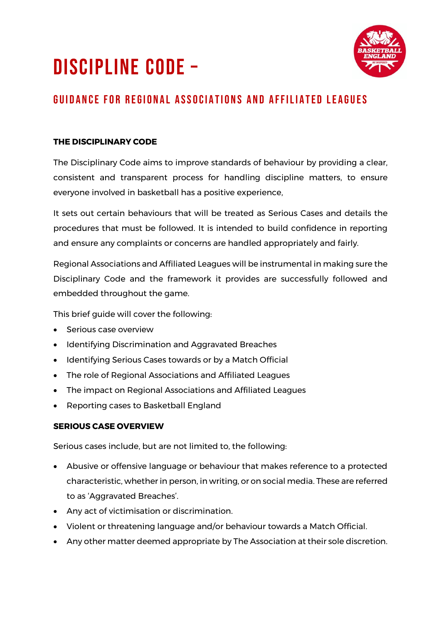# DISCIPLINE CODE –



# GUIDANCE FOR REGIONAL ASSOCIATIONS AND AFFILIATED LEAGUES

## **THE DISCIPLINARY CODE**

The Disciplinary Code aims to improve standards of behaviour by providing a clear, consistent and transparent process for handling discipline matters, to ensure everyone involved in basketball has a positive experience,

It sets out certain behaviours that will be treated as Serious Cases and details the procedures that must be followed. It is intended to build confidence in reporting and ensure any complaints or concerns are handled appropriately and fairly.

Regional Associations and Affiliated Leagues will be instrumental in making sure the Disciplinary Code and the framework it provides are successfully followed and embedded throughout the game.

This brief guide will cover the following:

- Serious case overview
- Identifying Discrimination and Aggravated Breaches
- Identifying Serious Cases towards or by a Match Official
- The role of Regional Associations and Affiliated Leagues
- The impact on Regional Associations and Affiliated Leagues
- Reporting cases to Basketball England

#### **SERIOUS CASE OVERVIEW**

Serious cases include, but are not limited to, the following:

- Abusive or offensive language or behaviour that makes reference to a protected characteristic, whether in person, in writing, or on social media. These are referred to as 'Aggravated Breaches'.
- Any act of victimisation or discrimination.
- Violent or threatening language and/or behaviour towards a Match Official.
- Any other matter deemed appropriate by The Association at their sole discretion.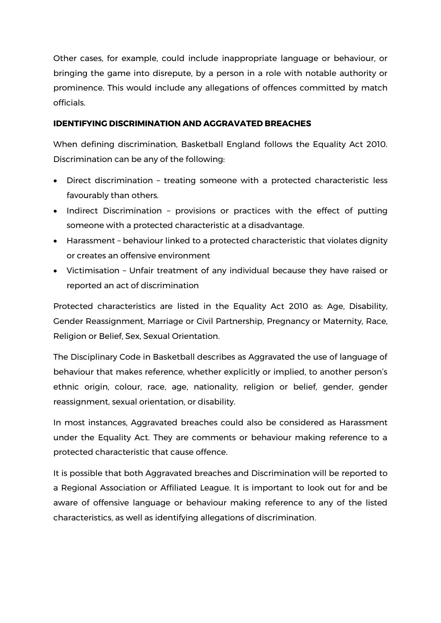Other cases, for example, could include inappropriate language or behaviour, or bringing the game into disrepute, by a person in a role with notable authority or prominence. This would include any allegations of offences committed by match officials.

#### **IDENTIFYING DISCRIMINATION AND AGGRAVATED BREACHES**

When defining discrimination, Basketball England follows the Equality Act 2010. Discrimination can be any of the following:

- Direct discrimination treating someone with a protected characteristic less favourably than others.
- Indirect Discrimination provisions or practices with the effect of putting someone with a protected characteristic at a disadvantage.
- Harassment behaviour linked to a protected characteristic that violates dignity or creates an offensive environment
- Victimisation Unfair treatment of any individual because they have raised or reported an act of discrimination

Protected characteristics are listed in the Equality Act 2010 as: Age, Disability, Gender Reassignment, Marriage or Civil Partnership, Pregnancy or Maternity, Race, Religion or Belief, Sex, Sexual Orientation.

The Disciplinary Code in Basketball describes as Aggravated the use of language of behaviour that makes reference, whether explicitly or implied, to another person's ethnic origin, colour, race, age, nationality, religion or belief, gender, gender reassignment, sexual orientation, or disability.

In most instances, Aggravated breaches could also be considered as Harassment under the Equality Act. They are comments or behaviour making reference to a protected characteristic that cause offence.

It is possible that both Aggravated breaches and Discrimination will be reported to a Regional Association or Affiliated League. It is important to look out for and be aware of offensive language or behaviour making reference to any of the listed characteristics, as well as identifying allegations of discrimination.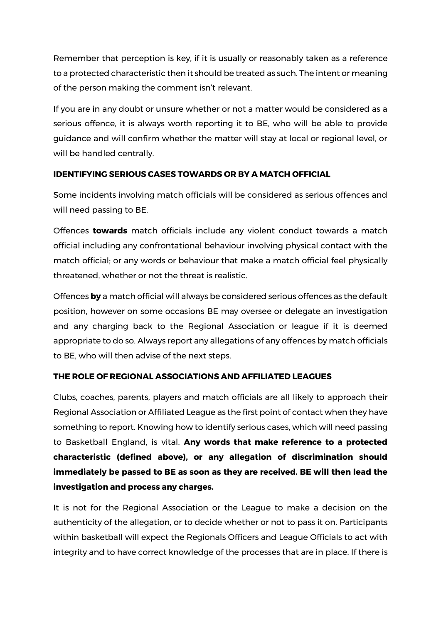Remember that perception is key, if it is usually or reasonably taken as a reference to a protected characteristic then it should be treated as such. The intent or meaning of the person making the comment isn't relevant.

If you are in any doubt or unsure whether or not a matter would be considered as a serious offence, it is always worth reporting it to BE, who will be able to provide guidance and will confirm whether the matter will stay at local or regional level, or will be handled centrally.

#### **IDENTIFYING SERIOUS CASES TOWARDS OR BY A MATCH OFFICIAL**

Some incidents involving match officials will be considered as serious offences and will need passing to BE.

Offences **towards** match officials include any violent conduct towards a match official including any confrontational behaviour involving physical contact with the match official; or any words or behaviour that make a match official feel physically threatened, whether or not the threat is realistic.

Offences **by** a match official will always be considered serious offences as the default position, however on some occasions BE may oversee or delegate an investigation and any charging back to the Regional Association or league if it is deemed appropriate to do so. Always report any allegations of any offences by match officials to BE, who will then advise of the next steps.

## **THE ROLE OF REGIONAL ASSOCIATIONS AND AFFILIATED LEAGUES**

Clubs, coaches, parents, players and match officials are all likely to approach their Regional Association or Affiliated League as the first point of contact when they have something to report. Knowing how to identify serious cases, which will need passing to Basketball England, is vital. **Any words that make reference to a protected characteristic (defined above), or any allegation of discrimination should immediately be passed to BE as soon as they are received. BE will then lead the investigation and process any charges.**

It is not for the Regional Association or the League to make a decision on the authenticity of the allegation, or to decide whether or not to pass it on. Participants within basketball will expect the Regionals Officers and League Officials to act with integrity and to have correct knowledge of the processes that are in place. If there is